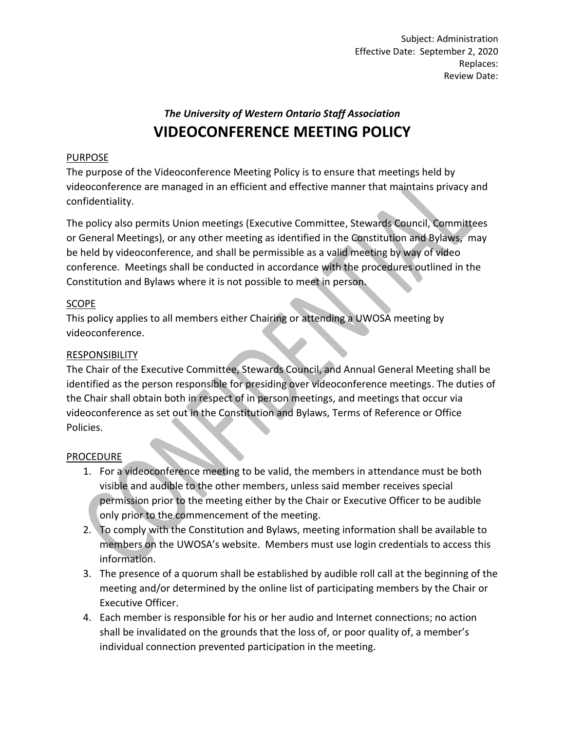Subject: Administration Effective Date: September 2, 2020 Replaces: Review Date:

# *The University of Western Ontario Staff Association* **VIDEOCONFERENCE MEETING POLICY**

## PURPOSE

The purpose of the Videoconference Meeting Policy is to ensure that meetings held by videoconference are managed in an efficient and effective manner that maintains privacy and confidentiality.

The policy also permits Union meetings (Executive Committee, Stewards Council, Committees or General Meetings), or any other meeting as identified in the Constitution and Bylaws, may be held by videoconference, and shall be permissible as a valid meeting by way of video conference. Meetings shall be conducted in accordance with the procedures outlined in the Constitution and Bylaws where it is not possible to meet in person.

# SCOPE

This policy applies to all members either Chairing or attending a UWOSA meeting by videoconference.

## RESPONSIBILITY

The Chair of the Executive Committee, Stewards Council, and Annual General Meeting shall be identified as the person responsible for presiding over videoconference meetings. The duties of the Chair shall obtain both in respect of in person meetings, and meetings that occur via videoconference as set out in the Constitution and Bylaws, Terms of Reference or Office Policies.

#### PROCEDURE

- 1. For a videoconference meeting to be valid, the members in attendance must be both visible and audible to the other members, unless said member receives special permission prior to the meeting either by the Chair or Executive Officer to be audible only prior to the commencement of the meeting.
- 2. To comply with the Constitution and Bylaws, meeting information shall be available to members on the UWOSA's website. Members must use login credentials to access this information.
- 3. The presence of a quorum shall be established by audible roll call at the beginning of the meeting and/or determined by the online list of participating members by the Chair or Executive Officer.
- 4. Each member is responsible for his or her audio and Internet connections; no action shall be invalidated on the grounds that the loss of, or poor quality of, a member's individual connection prevented participation in the meeting.